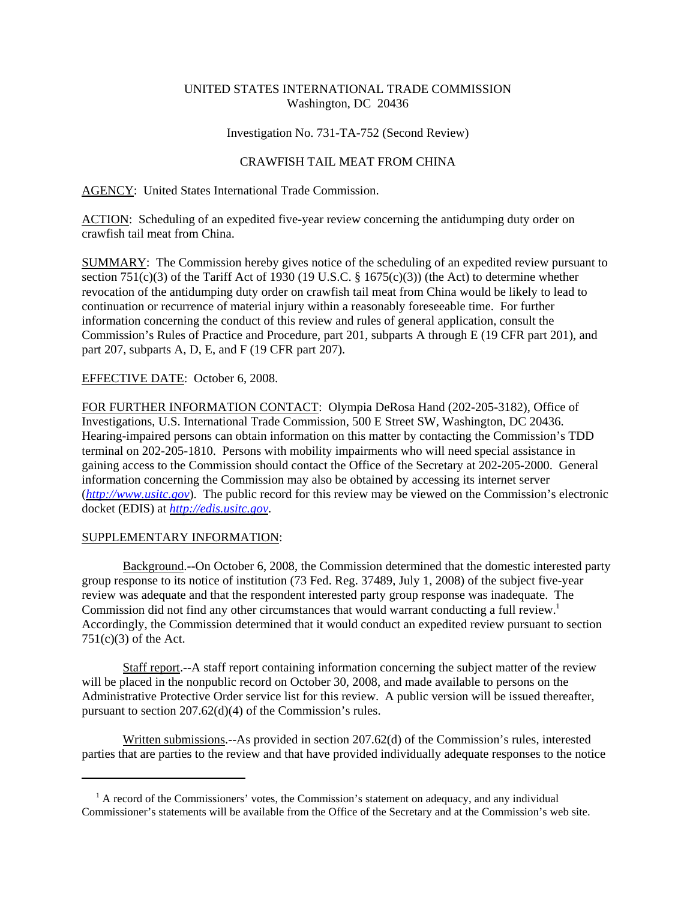# UNITED STATES INTERNATIONAL TRADE COMMISSION Washington, DC 20436

## Investigation No. 731-TA-752 (Second Review)

## CRAWFISH TAIL MEAT FROM CHINA

AGENCY: United States International Trade Commission.

ACTION: Scheduling of an expedited five-year review concerning the antidumping duty order on crawfish tail meat from China.

SUMMARY: The Commission hereby gives notice of the scheduling of an expedited review pursuant to section 751(c)(3) of the Tariff Act of 1930 (19 U.S.C.  $\S$  1675(c)(3)) (the Act) to determine whether revocation of the antidumping duty order on crawfish tail meat from China would be likely to lead to continuation or recurrence of material injury within a reasonably foreseeable time. For further information concerning the conduct of this review and rules of general application, consult the Commission's Rules of Practice and Procedure, part 201, subparts A through E (19 CFR part 201), and part 207, subparts A, D, E, and F (19 CFR part 207).

## EFFECTIVE DATE: October 6, 2008.

FOR FURTHER INFORMATION CONTACT: Olympia DeRosa Hand (202-205-3182), Office of Investigations, U.S. International Trade Commission, 500 E Street SW, Washington, DC 20436. Hearing-impaired persons can obtain information on this matter by contacting the Commission's TDD terminal on 202-205-1810. Persons with mobility impairments who will need special assistance in gaining access to the Commission should contact the Office of the Secretary at 202-205-2000. General information concerning the Commission may also be obtained by accessing its internet server (*http://www.usitc.gov*). The public record for this review may be viewed on the Commission's electronic docket (EDIS) at *http://edis.usitc.gov*.

### SUPPLEMENTARY INFORMATION:

Background.--On October 6, 2008, the Commission determined that the domestic interested party group response to its notice of institution (73 Fed. Reg. 37489, July 1, 2008) of the subject five-year review was adequate and that the respondent interested party group response was inadequate. The Commission did not find any other circumstances that would warrant conducting a full review.<sup>1</sup> Accordingly, the Commission determined that it would conduct an expedited review pursuant to section 751(c)(3) of the Act.

Staff report.--A staff report containing information concerning the subject matter of the review will be placed in the nonpublic record on October 30, 2008, and made available to persons on the Administrative Protective Order service list for this review. A public version will be issued thereafter, pursuant to section 207.62(d)(4) of the Commission's rules.

Written submissions.--As provided in section 207.62(d) of the Commission's rules, interested parties that are parties to the review and that have provided individually adequate responses to the notice

<sup>&</sup>lt;sup>1</sup> A record of the Commissioners' votes, the Commission's statement on adequacy, and any individual Commissioner's statements will be available from the Office of the Secretary and at the Commission's web site.